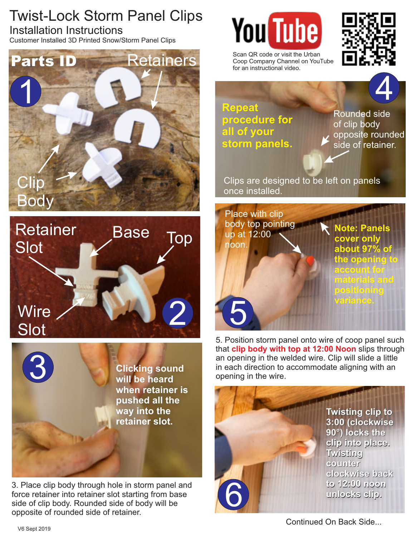Twist-Lock Storm Panel Clips Installation Instructions

Customer Installed 3D Printed Snow/Storm Panel Clips





**Clicking sound will be heard when retainer is pushed all the way into the retainer slot.**

3. Place clip body through hole in storm panel and force retainer into retainer slot starting from base side of clip body. Rounded side of body will be opposite of rounded side of retainer.





Scan QR code or visit the Urban Coop Company Channel on YouTube for an instructional video.



**Repeat procedure for all of your storm panels.**

Rounded side of clip body opposite rounded side of retainer.

Clips are designed to be left on panels once installed.



5. Position storm panel onto wire of coop panel such that **clip body with top at 12:00 Noon** slips through an opening in the welded wire. Clip will slide a little<br> **in** each direction to accommodate aligning with an<br> **Solution will be heard**<br> **Solution in the wire.** 



**Twisting clip to Twisting clip to 3:00 (clockwise 3:00 (clockwise 90°) locks the clip into place. 90°) locks the clip into place. Twisting Twisting counter counter clockwise back clockwise back to 12:00 noon to 12:00 noon unlocks clip. unlocks clip.** 

Continued On Back Side...